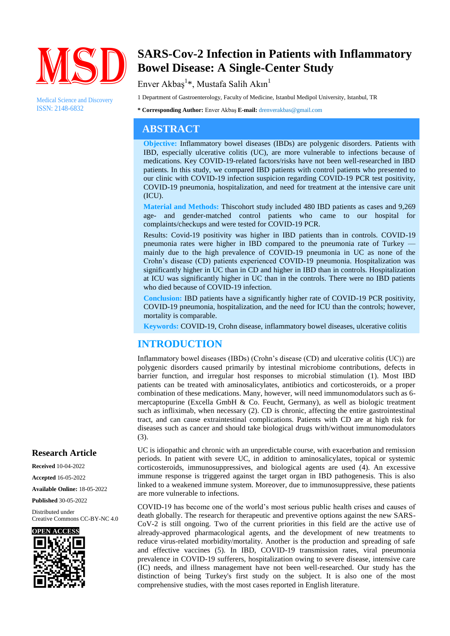

Medical Science and Discovery ISSN: 2148-6832

# **SARS-Cov-2 Infection in Patients with Inflammatory Bowel Disease: A Single-Center Study**

Enver Akbaş $^{1*}$ , Mustafa Salih Akın $^{1}$ 

1 Department of Gastroenterology, Faculty of Medicine, Istanbul Medipol University, Istanbul, TR

**\* Corresponding Author:** Enver Akbaş **E-mail:** drenverakbas@gmail.com

## **ABSTRACT**

**Objective:** Inflammatory bowel diseases (IBDs) are polygenic disorders. Patients with IBD, especially ulcerative colitis (UC), are more vulnerable to infections because of medications. Key COVID-19-related factors/risks have not been well-researched in IBD patients. In this study, we compared IBD patients with control patients who presented to our clinic with COVID-19 infection suspicion regarding COVID-19 PCR test positivity, COVID-19 pneumonia, hospitalization, and need for treatment at the intensive care unit (ICU).

**Material and Methods:** Thiscohort study included 480 IBD patients as cases and 9,269 age- and gender-matched control patients who came to our hospital for complaints/checkups and were tested for COVID-19 PCR.

Results: Covid-19 positivity was higher in IBD patients than in controls. COVID-19 pneumonia rates were higher in IBD compared to the pneumonia rate of Turkey mainly due to the high prevalence of COVID-19 pneumonia in UC as none of the Crohn's disease (CD) patients experienced COVID-19 pneumonia. Hospitalization was significantly higher in UC than in CD and higher in IBD than in controls. Hospitalization at ICU was significantly higher in UC than in the controls. There were no IBD patients who died because of COVID-19 infection.

**Conclusion:** IBD patients have a significantly higher rate of COVID-19 PCR positivity, COVID-19 pneumonia, hospitalization, and the need for ICU than the controls; however, mortality is comparable.

**Keywords:** COVID-19, Crohn disease, inflammatory bowel diseases, ulcerative colitis

# **INTRODUCTION**

Inflammatory bowel diseases (IBDs) (Crohn's disease (CD) and ulcerative colitis (UC)) are polygenic disorders caused primarily by intestinal microbiome contributions, defects in barrier function, and irregular host responses to microbial stimulation (1). Most IBD patients can be treated with aminosalicylates, antibiotics and corticosteroids, or a proper combination of these medications. Many, however, will need immunomodulators such as 6 mercaptopurine (Excella GmbH & Co. Feucht, Germany), as well as biologic treatment such as infliximab, when necessary (2). CD is chronic, affecting the entire gastrointestinal tract, and can cause extraintestinal complications. Patients with CD are at high risk for diseases such as cancer and should take biological drugs with/without immunomodulators (3).

UC is idiopathic and chronic with an unpredictable course, with exacerbation and remission periods. In patient with severe UC, in addition to aminosalicylates, topical or systemic corticosteroids, immunosuppressives, and biological agents are used (4). An excessive immune response is triggered against the target organ in IBD pathogenesis. This is also linked to a weakened immune system. Moreover, due to immunosuppressive, these patients are more vulnerable to infections.

COVID-19 has become one of the world's most serious public health crises and causes of death globally. The research for therapeutic and preventive options against the new SARS-CoV-2 is still ongoing. Two of the current priorities in this field are the active use of already-approved pharmacological agents, and the development of new treatments to reduce virus-related morbidity/mortality. Another is the production and spreading of safe and effective vaccines (5). In IBD, COVID-19 transmission rates, viral pneumonia prevalence in COVID-19 sufferers, hospitalization owing to severe disease, intensive care (IC) needs, and illness management have not been well-researched. Our study has the distinction of being Turkey's first study on the subject. It is also one of the most comprehensive studies, with the most cases reported in English literature.

### **Research Article**

**Received** 10-04-2022 **Accepted** 16-05-2022 **Available Online:** 18-05-2022 **Published** 30-05-2022

Distributed under Creative Commons CC-BY-NC 4.0

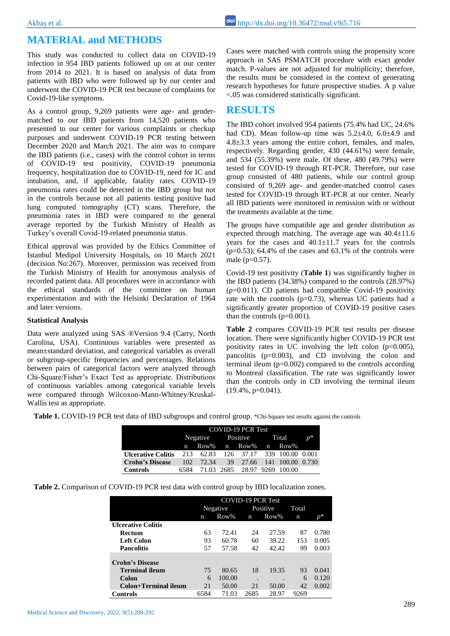# **MATERIAL and METHODS**

This study was conducted to collect data on COVID-19 infection in 954 IBD patients followed up on at our center from 2014 to 2021. It is based on analysis of data from patients with IBD who were followed up by our center and underwent the COVID-19 PCR test because of complaints for Covid-19-like symptoms.

As a control group, 9,269 patients were age- and gendermatched to our IBD patients from 14,520 patients who presented to our center for various complaints or checkup purposes and underwent COVID-19 PCR testing between December 2020 and March 2021. The aim was to compare the IBD patients (i.e., cases) with the control cohort in terms of COVID-19 test positivity, COVID-19 pneumonia frequency, hospitalization due to COVID-19, need for IC and intubation, and, if applicable, fatality rates. COVID-19 pneumonia rates could be detected in the IBD group but not in the controls because not all patients testing positive had lung computed tomography (CT) scans. Therefore, the pneumonia rates in IBD were compared to the general average reported by the Turkish Ministry of Health as Turkey's overall Covid-19-related pneumonia status.

Ethical approval was provided by the Ethics Committee of Istanbul Medipol University Hospitals, on 10 March 2021 (decision No:267). Moreover, permission was received from the Turkish Ministry of Health for anonymous analysis of recorded patient data. All procedures were in accordance with the ethical standards of the committee on human experimentation and with the Helsinki Declaration of 1964 and later versions.

#### **Statistical Analysis**

Data were analyzed using SAS ®Version 9.4 (Carry, North Carolina, USA). Continuous variables were presented as mean±standard deviation, and categorical variables as overall or subgroup-specific frequencies and percentages. Relations between pairs of categorical factors were analyzed through Chi-Square/Fisher's Exact Test as appropriate. Distributions of continuous variables among categorical variable levels were compared through Wilcoxon-Mann-Whitney/Kruskal-Wallis test as appropriate.

Cases were matched with controls using the propensity score approach in SAS PSMATCH procedure with exact gender match. P-values are not adjusted for multiplicity; therefore, the results must be considered in the context of generating research hypotheses for future prospective studies. A p value <.05 was considered statistically significant.

### **RESULTS**

The IBD cohort involved 954 patients (75.4% had UC, 24.6% had CD). Mean follow-up time was  $5.2\pm4.0$ ,  $6.0\pm4.9$  and 4.8±3.3 years among the entire cohort, females, and males, respectively. Regarding gender, 430 (44.61%) were female, and 534 (55.39%) were male. Of these, 480 (49.79%) were tested for COVID-19 through RT-PCR. Therefore, our case group consisted of 480 patients, while our control group consisted of 9,269 age- and gender-matched control cases tested for COVID-19 through RT-PCR at our center. Nearly all IBD patients were monitored in remission with or without the treatments available at the time.

The groups have compatible age and gender distribution as expected through matching. The average age was  $40.4 \pm 11.6$ years for the cases and  $40.1 \pm 11.7$  years for the controls  $(p=0.53)$ ; 64.4% of the cases and 63.1% of the controls were male (p=0.57).

Covid-19 test positivity (**Table 1**) was significantly higher in the IBD patients (34.38%) compared to the controls (28.97%) (p=0.011). CD patients had compatible Covid-19 positivity rate with the controls  $(p=0.73)$ , whereas UC patients had a significantly greater proportion of COVID-19 positive cases than the controls  $(p=0.001)$ .

**Table 2** compares COVID-19 PCR test results per disease location. There were significantly higher COVID-19 PCR test positivity rates in UC involving the left colon  $(p=0.005)$ , pancolitis (p=0.003), and CD involving the colon and terminal ileum (p=0.002) compared to the controls according to Montreal classification. The rate was significantly lower than the controls only in CD involving the terminal ileum  $(19.4\%, p=0.041)$ .

**Table 1.** COVID-19 PCR test data of IBD subgroups and control group. \*Chi-Square test results against the controls

|                           | COVID-19 PCR Test |                              |  |          |  |                            |  |  |
|---------------------------|-------------------|------------------------------|--|----------|--|----------------------------|--|--|
|                           |                   | Negative Positive Total      |  |          |  | $p^*$                      |  |  |
|                           |                   | n Row% n Row% n Row%         |  |          |  |                            |  |  |
| <b>Ulcerative Colitis</b> |                   | 213 62.83                    |  |          |  | 126 37.17 339 100.00 0.001 |  |  |
| <b>Crohn's Disease</b>    | 102 <sub>1</sub>  | 72.34                        |  | 39 27.66 |  | 141 100.00 0.730           |  |  |
| <b>Controls</b>           | 6584              | 71.03 2685 28.97 9269 100.00 |  |          |  |                            |  |  |

**Table 2.** Comparison of COVID-19 PCR test data with control group by IBD localization zones.

|                           | <b>COVID-19 PCR Test</b> |        |          |         |             |       |  |  |
|---------------------------|--------------------------|--------|----------|---------|-------------|-------|--|--|
|                           | Negative                 |        | Positive |         | Total       |       |  |  |
|                           | Row%<br>n                |        | n        | $Row\%$ | $\mathbf n$ |       |  |  |
| <b>Ulcerative Colitis</b> |                          |        |          |         |             |       |  |  |
| <b>Rectum</b>             | 63                       | 72.41  | 24       | 27.59   | 87          | 0.780 |  |  |
| Left Colon                | 93                       | 60.78  | 60       | 39.22   | 153         | 0.005 |  |  |
| <b>Pancolitis</b>         | 57                       | 57.58  | 42       | 42.42   | 99          | 0.003 |  |  |
|                           |                          |        |          |         |             |       |  |  |
| <b>Crohn's Disease</b>    |                          |        |          |         |             |       |  |  |
| <b>Terminal ileum</b>     | 75                       | 80.65  | 18       | 19.35   | 93          | 0.041 |  |  |
| Colon                     | 6                        | 100.00 | ٠        |         | 6           | 0.120 |  |  |
| Colon+Terminal ileum      | 21                       | 50.00  | 21       | 50.00   | 42          | 0.002 |  |  |
| <b>Controls</b>           | 6584                     | 71.03  | 2685     | 28.97   | 9269        |       |  |  |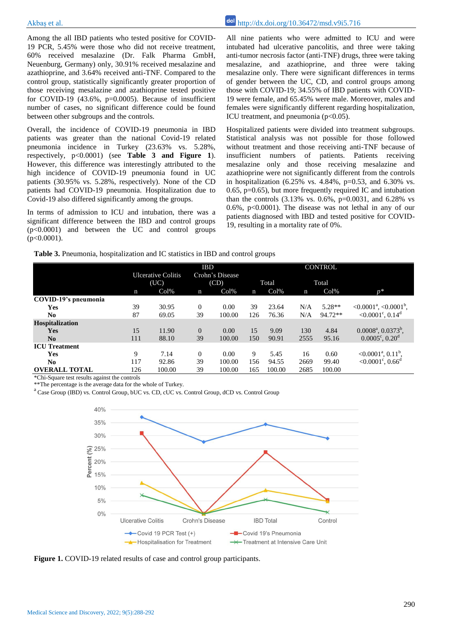Among the all IBD patients who tested positive for COVID-19 PCR, 5.45% were those who did not receive treatment, 60% received mesalazine (Dr. Falk Pharma GmbH, Neuenburg, Germany) only, 30.91% received mesalazine and azathioprine, and 3.64% received anti-TNF. Compared to the control group, statistically significantly greater proportion of those receiving mesalazine and azathioprine tested positive for COVID-19  $(43.6\% , p=0.0005)$ . Because of insufficient number of cases, no significant difference could be found between other subgroups and the controls.

Overall, the incidence of COVID-19 pneumonia in IBD patients was greater than the national Covid-19 related pneumonia incidence in Turkey (23.63% vs. 5.28%, respectively, p<0.0001) (see **Table 3 and Figure 1**). However, this difference was interestingly attributed to the high incidence of COVID-19 pneumonia found in UC patients (30.95% vs. 5.28%, respectively). None of the CD patients had COVID-19 pneumonia. Hospitalization due to Covid-19 also differed significantly among the groups.

In terms of admission to ICU and intubation, there was a significant difference between the IBD and control groups (p<0.0001) and between the UC and control groups  $(p<0.0001)$ .

Akbas et al.  $\frac{d\alpha}{dt}$  http://dx.doi.org/10.36472/msd.v9i5.716

All nine patients who were admitted to ICU and were intubated had ulcerative pancolitis, and three were taking anti-tumor necrosis factor (anti-TNF) drugs, three were taking mesalazine, and azathioprine, and three were taking mesalazine only. There were significant differences in terms of gender between the UC, CD, and control groups among those with COVID-19; 34.55% of IBD patients with COVID-19 were female, and 65.45% were male. Moreover, males and females were significantly different regarding hospitalization, ICU treatment, and pneumonia  $(p<0.05)$ .

Hospitalized patients were divided into treatment subgroups. Statistical analysis was not possible for those followed without treatment and those receiving anti-TNF because of insufficient numbers of patients. Patients receiving mesalazine only and those receiving mesalazine and azathioprine were not significantly different from the controls in hospitalization  $(6.25\% \text{ vs. } 4.84\%, \text{ p=0.53, and } 6.30\% \text{ vs. }$ 0.65, p=0.65), but more frequently required IC and intubation than the controls  $(3.13\% \text{ vs. } 0.6\%, \text{ p=0.0031, and } 6.28\% \text{ vs. } 0.6\% \text{ or } 6.2\% \text{ vs. } 6.2\% \text{ or } 6.2\% \text{ or } 6.2\% \text{ or } 6.2\% \text{ or } 6.2\% \text{ or } 6.2\% \text{ or } 6.2\% \text{ or } 6.2\% \text{ or } 6.2\% \text{ or } 6.2\% \text{ or } 6.2\% \text{ or } 6.2\% \text{ or }$ 0.6%, p<0.0001). The disease was not lethal in any of our patients diagnosed with IBD and tested positive for COVID-19, resulting in a mortality rate of 0%.

|  |  | Table 3. Pneumonia, hospitalization and IC statistics in IBD and control groups |  |  |  |  |  |
|--|--|---------------------------------------------------------------------------------|--|--|--|--|--|
|--|--|---------------------------------------------------------------------------------|--|--|--|--|--|

|                      |                                   | <b>IBD</b> |                         |        |             | <b>CONTROL</b> |             |          |                                                 |  |
|----------------------|-----------------------------------|------------|-------------------------|--------|-------------|----------------|-------------|----------|-------------------------------------------------|--|
|                      | <b>Ulcerative Colitis</b><br>(UC) |            | Crohn's Disease<br>(CD) |        | Total       |                | Total       |          |                                                 |  |
|                      | n                                 | Col%       | n                       | Col%   | $\mathbf n$ | Col%           | $\mathbf n$ | Col%     | $n^*$                                           |  |
| COVID-19's pneumonia |                                   |            |                         |        |             |                |             |          |                                                 |  |
| Yes                  | 39                                | 30.95      | $\Omega$                | 0.00   | 39          | 23.64          | N/A         | $5.28**$ | $\leq 0.0001^{\rm a}$ , $\leq 0.0001^{\rm b}$ , |  |
| N <sub>0</sub>       | 87                                | 69.05      | 39                      | 100.00 | 126         | 76.36          | N/A         | 94.72**  | <0.0001 $^{\circ}$ , 0.14 $^{\circ}$            |  |
| Hospitalization      |                                   |            |                         |        |             |                |             |          |                                                 |  |
| Yes                  | 15                                | 11.90      | $\Omega$                | 0.00   | 15          | 9.09           | 130         | 4.84     | $0.0008^{\text{a}}$ , $0.0373^{\text{b}}$ ,     |  |
| No                   | 111                               | 88.10      | 39                      | 100.00 | 150         | 90.91          | 2555        | 95.16    | $0.0005^{\circ}, 0.20^{\circ}$                  |  |
| <b>ICU</b> Treatment |                                   |            |                         |        |             |                |             |          |                                                 |  |
| Yes                  | 9                                 | 7.14       | $\Omega$                | 0.00   | 9           | 5.45           | 16          | 0.60     | $< 0.0001^{\text{a}}$ , $0.11^{\text{b}}$ ,     |  |
| N <sub>0</sub>       | 117                               | 92.86      | 39                      | 100.00 | 156         | 94.55          | 2669        | 99.40    | <0.0001 $^{\circ}$ , 0.66 <sup>d</sup>          |  |
| <b>OVERALL TOTAL</b> | 126                               | 100.00     | 39                      | 100.00 | 165         | 100.00         | 2685        | 100.00   |                                                 |  |

\*Chi-Square test results against the controls

\*\*The percentage is the average data for the whole of Turkey.

<sup>a</sup> Case Group (IBD) vs. Control Group, bUC vs. CD, cUC vs. Control Group, dCD vs. Control Group



**Figure 1.** COVID-19 related results of case and control group participants.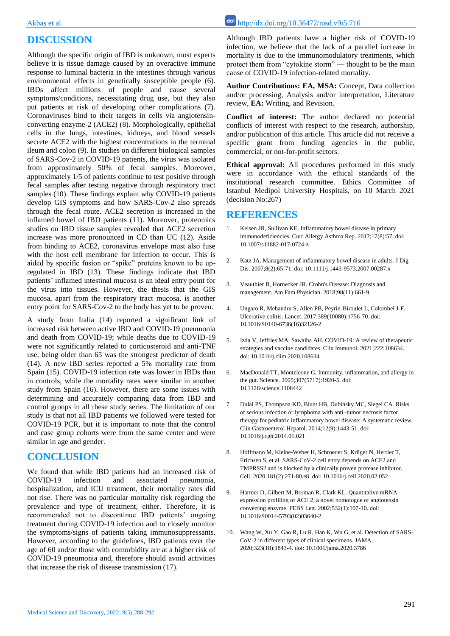# **DISCUSSION**

Although the specific origin of IBD is unknown, most experts believe it is tissue damage caused by an overactive immune response to luminal bacteria in the intestines through various environmental effects in genetically susceptible people (6). IBDs affect millions of people and cause several symptoms/conditions, necessitating drug use, but they also put patients at risk of developing other complications (7). Coronaviruses bind to their targets in cells via angiotensinconverting enzyme-2 (ACE2) (8). Morphologically, epithelial cells in the lungs, intestines, kidneys, and blood vessels secrete ACE2 with the highest concentrations in the terminal ileum and colon (9). In studies on different biological samples of SARS-Cov-2 in COVID-19 patients, the virus was isolated from approximately 50% of fecal samples. Moreover, approximately 1/5 of patients continue to test positive through fecal samples after testing negative through respiratory tract samples (10). These findings explain why COVID-19 patients develop GIS symptoms and how SARS-Cov-2 also spreads through the fecal route. ACE2 secretion is increased in the inflamed bowel of IBD patients (11). Moreover, proteomics studies on IBD tissue samples revealed that ACE2 secretion increase was more pronounced in CD than UC (12). Aside from binding to ACE2, coronavirus envelope must also fuse with the host cell membrane for infection to occur. This is aided by specific fusion or "spike" proteins known to be upregulated in IBD (13). These findings indicate that IBD patients' inflamed intestinal mucosa is an ideal entry point for the virus into tissues. However, the thesis that the GIS mucosa, apart from the respiratory tract mucosa, is another entry point for SARS-Cov-2 to the body has yet to be proven.

A study from Italia (14) reported a significant link of increased risk between active IBD and COVID-19 pneumonia and death from COVID-19; while deaths due to COVID-19 were not significantly related to corticosteroid and anti-TNF use, being older than 65 was the strongest predictor of death (14). A new IBD series reported a 5% mortality rate from Spain (15). COVID-19 infection rate was lower in IBDs than in controls, while the mortality rates were similar in another study from Spain (16). However, there are some issues with determining and accurately comparing data from IBD and control groups in all these study series. The limitation of our study is that not all IBD patients we followed were tested for COVID-19 PCR, but it is important to note that the control and case group cohorts were from the same center and were similar in age and gender.

### **CONCLUSION**

We found that while IBD patients had an increased risk of COVID-19 infection and associated pneumonia, hospitalization, and ICU treatment, their mortality rates did not rise. There was no particular mortality risk regarding the prevalence and type of treatment, either. Therefore, it is recommended not to discontinue IBD patients' ongoing treatment during COVID-19 infection and to closely monitor the symptoms/signs of patients taking immunosuppressants. However, according to the guidelines, IBD patients over the age of 60 and/or those with comorbidity are at a higher risk of COVID-19 pneumonia and, therefore should avoid activities that increase the risk of disease transmission (17).

Akbas et al.  $\frac{d\alpha}{dt}$  http://dx.doi.org/10.36472/msd.v9i5.716

Although IBD patients have a higher risk of COVID-19 infection, we believe that the lack of a parallel increase in mortality is due to the immunomodulatory treatments, which protect them from "cytokine storm" — thought to be the main cause of COVID-19 infection-related mortality.

**Author Contributions: EA, MSA:** Concept, Data collection and/or processing, Analysis and/or interpretation, Literature review, **EA:** Writing, and Revision.

**Conflict of interest:** The author declared no potential conflicts of interest with respect to the research, authorship, and/or publication of this article. This article did not receive a specific grant from funding agencies in the public, commercial, or not-for-profit sectors.

**Ethical approval:** All procedures performed in this study were in accordance with the ethical standards of the institutional research committee. Ethics Committee of Istanbul Medipol University Hospitals, on 10 March 2021 (decision No:267)

### **REFERENCES**

- 1. Kelsen JR, Sullivan KE. Inflammatory bowel disease in primary immunodeficiencies. Curr Allergy Asthma Rep. 2017;17(8):57. doi: 10.1007/s11882-017-0724-z
- 2. Katz JA. Management of inflammatory bowel disease in adults. J Dig Dis. 2007;8(2):65-71. doi: 10.1111/j.1443-9573.2007.00287.x
- 3. Veauthier B, Hornecker JR. Crohn's Disease: Diagnosis and management. Am Fam Physician. 2018;98(11):661-9.
- 4. Ungaro R, Mehandru S, Allen PB, Peyrin-Biroulet L, Colombel J-F. Ulcerative colitis. Lancet. 2017;389(10080):1756-70. doi: 10.1016/S0140-6736(16)32126-2
- 5. Izda V, Jeffries MA, Sawalha AH. COVID-19: A review of therapeutic strategies and vaccine candidates. Clin Immunol. 2021;222:108634. doi: 10.1016/j.clim.2020.108634
- 6. MacDonald TT, Monteleone G. Immunity, inflammation, and allergy in the gut. Science. 2005;307(5717):1920-5. doi: 10.1126/science.1106442
- 7. Dulai PS, Thompson KD, Blunt HB, Dubinsky MC, Siegel CA. Risks of serious infection or lymphoma with anti–tumor necrosis factor therapy for pediatric inflammatory bowel disease: A systematic review. Clin Gastroenterol Hepatol. 2014;12(9):1443-51. doi: 10.1016/j.cgh.2014.01.021
- 8. Hoffmann M, Kleine-Weber H, Schroeder S, Krüger N, Herrler T, Erichsen S, et al. SARS-CoV-2 cell entry depends on ACE2 and TMPRSS2 and is blocked by a clinically proven protease inhibitor. Cell. 2020;181(2):271-80.e8. doi: 10.1016/j.cell.2020.02.052
- 9. Harmer D, Gilbert M, Borman R, Clark KL. Quantitative mRNA expression profiling of ACE 2, a novel homologue of angiotensin converting enzyme. FEBS Lett. 2002;532(1):107-10. doi: 10.1016/S0014-5793(02)03640-2
- 10. Wang W, Xu Y, Gao R, Lu R, Han K, Wu G, et al. Detection of SARS-CoV-2 in different types of clinical specimens. JAMA. 2020;323(18):1843-4. doi: 10.1001/jama.2020.3786